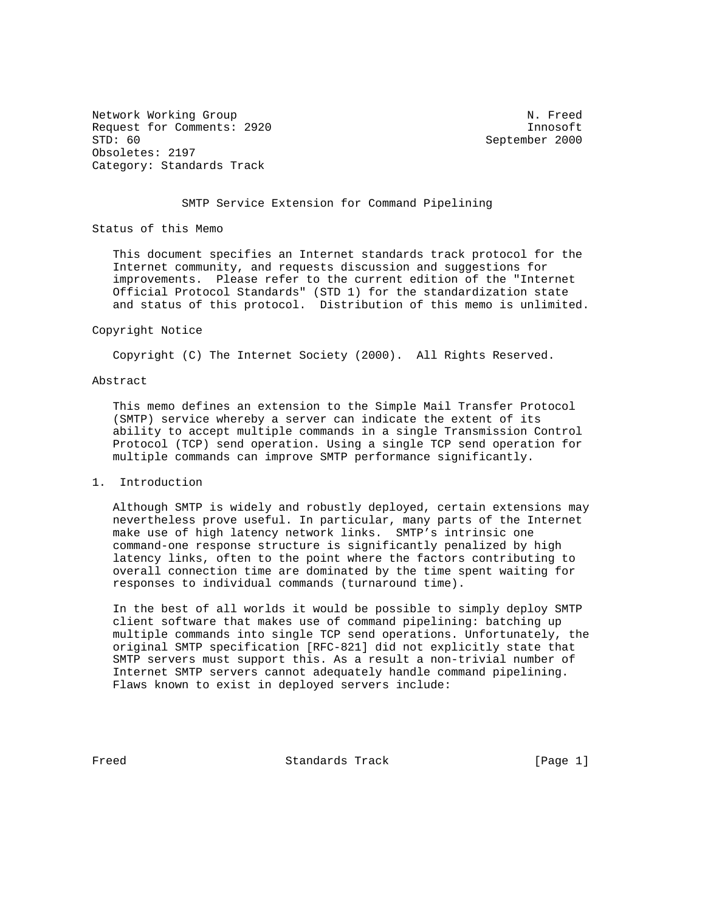Network Working Group Network Network Network Network Network Network Network Network Network Network Network Request for Comments: 2920 Innosoft<br>STD: 60 Innosoft STD: 60 Obsoletes: 2197 Category: Standards Track

September 2000

## SMTP Service Extension for Command Pipelining

Status of this Memo

 This document specifies an Internet standards track protocol for the Internet community, and requests discussion and suggestions for improvements. Please refer to the current edition of the "Internet Official Protocol Standards" (STD 1) for the standardization state and status of this protocol. Distribution of this memo is unlimited.

#### Copyright Notice

Copyright (C) The Internet Society (2000). All Rights Reserved.

### Abstract

 This memo defines an extension to the Simple Mail Transfer Protocol (SMTP) service whereby a server can indicate the extent of its ability to accept multiple commands in a single Transmission Control Protocol (TCP) send operation. Using a single TCP send operation for multiple commands can improve SMTP performance significantly.

#### 1. Introduction

 Although SMTP is widely and robustly deployed, certain extensions may nevertheless prove useful. In particular, many parts of the Internet make use of high latency network links. SMTP's intrinsic one command-one response structure is significantly penalized by high latency links, often to the point where the factors contributing to overall connection time are dominated by the time spent waiting for responses to individual commands (turnaround time).

 In the best of all worlds it would be possible to simply deploy SMTP client software that makes use of command pipelining: batching up multiple commands into single TCP send operations. Unfortunately, the original SMTP specification [RFC-821] did not explicitly state that SMTP servers must support this. As a result a non-trivial number of Internet SMTP servers cannot adequately handle command pipelining. Flaws known to exist in deployed servers include:

Freed Standards Track [Page 1]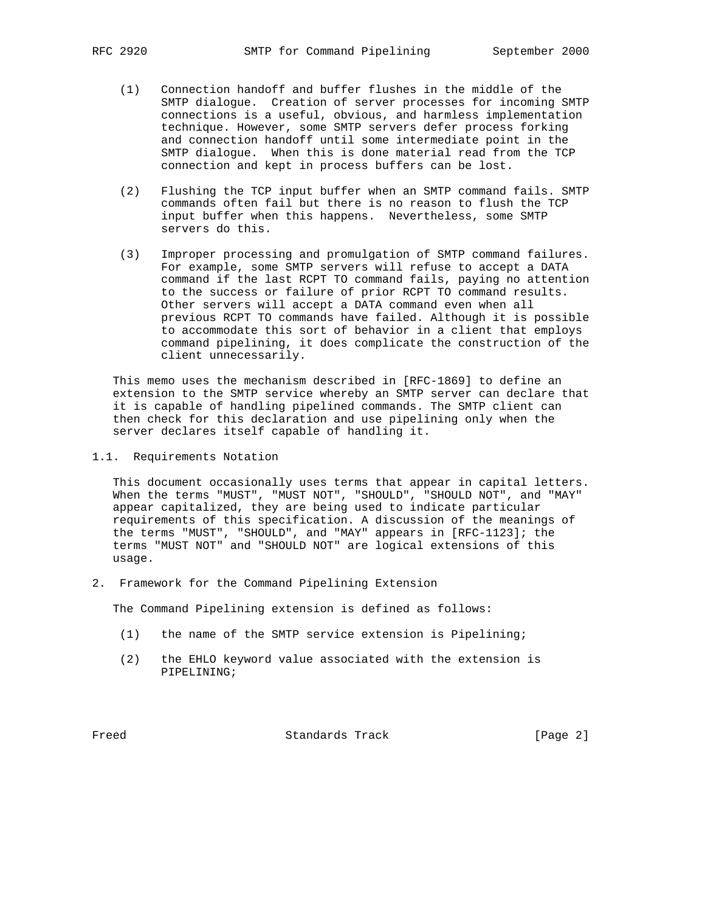- (1) Connection handoff and buffer flushes in the middle of the SMTP dialogue. Creation of server processes for incoming SMTP connections is a useful, obvious, and harmless implementation technique. However, some SMTP servers defer process forking and connection handoff until some intermediate point in the SMTP dialogue. When this is done material read from the TCP connection and kept in process buffers can be lost.
- (2) Flushing the TCP input buffer when an SMTP command fails. SMTP commands often fail but there is no reason to flush the TCP input buffer when this happens. Nevertheless, some SMTP servers do this.
- (3) Improper processing and promulgation of SMTP command failures. For example, some SMTP servers will refuse to accept a DATA command if the last RCPT TO command fails, paying no attention to the success or failure of prior RCPT TO command results. Other servers will accept a DATA command even when all previous RCPT TO commands have failed. Although it is possible to accommodate this sort of behavior in a client that employs command pipelining, it does complicate the construction of the client unnecessarily.

 This memo uses the mechanism described in [RFC-1869] to define an extension to the SMTP service whereby an SMTP server can declare that it is capable of handling pipelined commands. The SMTP client can then check for this declaration and use pipelining only when the server declares itself capable of handling it.

1.1. Requirements Notation

 This document occasionally uses terms that appear in capital letters. When the terms "MUST", "MUST NOT", "SHOULD", "SHOULD NOT", and "MAY" appear capitalized, they are being used to indicate particular requirements of this specification. A discussion of the meanings of the terms "MUST", "SHOULD", and "MAY" appears in [RFC-1123]; the terms "MUST NOT" and "SHOULD NOT" are logical extensions of this usage.

2. Framework for the Command Pipelining Extension

The Command Pipelining extension is defined as follows:

- (1) the name of the SMTP service extension is Pipelining;
- (2) the EHLO keyword value associated with the extension is PIPELINING;

Freed Standards Track [Page 2]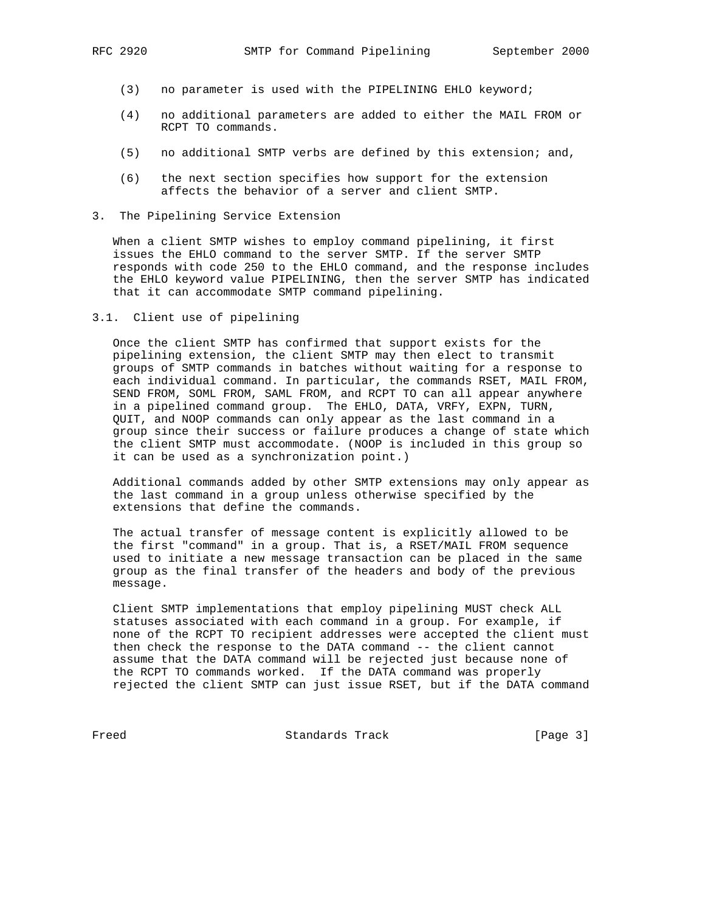- (3) no parameter is used with the PIPELINING EHLO keyword;
- (4) no additional parameters are added to either the MAIL FROM or RCPT TO commands.
- (5) no additional SMTP verbs are defined by this extension; and,
- (6) the next section specifies how support for the extension affects the behavior of a server and client SMTP.
- 3. The Pipelining Service Extension

 When a client SMTP wishes to employ command pipelining, it first issues the EHLO command to the server SMTP. If the server SMTP responds with code 250 to the EHLO command, and the response includes the EHLO keyword value PIPELINING, then the server SMTP has indicated that it can accommodate SMTP command pipelining.

3.1. Client use of pipelining

 Once the client SMTP has confirmed that support exists for the pipelining extension, the client SMTP may then elect to transmit groups of SMTP commands in batches without waiting for a response to each individual command. In particular, the commands RSET, MAIL FROM, SEND FROM, SOML FROM, SAML FROM, and RCPT TO can all appear anywhere in a pipelined command group. The EHLO, DATA, VRFY, EXPN, TURN, QUIT, and NOOP commands can only appear as the last command in a group since their success or failure produces a change of state which the client SMTP must accommodate. (NOOP is included in this group so it can be used as a synchronization point.)

 Additional commands added by other SMTP extensions may only appear as the last command in a group unless otherwise specified by the extensions that define the commands.

 The actual transfer of message content is explicitly allowed to be the first "command" in a group. That is, a RSET/MAIL FROM sequence used to initiate a new message transaction can be placed in the same group as the final transfer of the headers and body of the previous message.

 Client SMTP implementations that employ pipelining MUST check ALL statuses associated with each command in a group. For example, if none of the RCPT TO recipient addresses were accepted the client must then check the response to the DATA command -- the client cannot assume that the DATA command will be rejected just because none of the RCPT TO commands worked. If the DATA command was properly rejected the client SMTP can just issue RSET, but if the DATA command

Freed Standards Track [Page 3]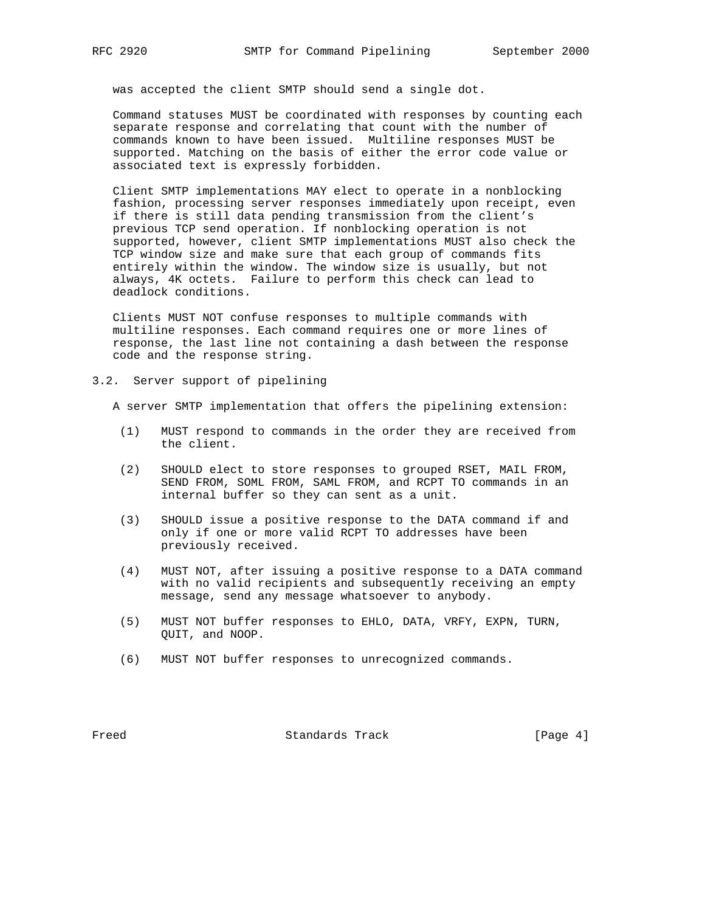was accepted the client SMTP should send a single dot.

 Command statuses MUST be coordinated with responses by counting each separate response and correlating that count with the number of commands known to have been issued. Multiline responses MUST be supported. Matching on the basis of either the error code value or associated text is expressly forbidden.

 Client SMTP implementations MAY elect to operate in a nonblocking fashion, processing server responses immediately upon receipt, even if there is still data pending transmission from the client's previous TCP send operation. If nonblocking operation is not supported, however, client SMTP implementations MUST also check the TCP window size and make sure that each group of commands fits entirely within the window. The window size is usually, but not always, 4K octets. Failure to perform this check can lead to deadlock conditions.

 Clients MUST NOT confuse responses to multiple commands with multiline responses. Each command requires one or more lines of response, the last line not containing a dash between the response code and the response string.

3.2. Server support of pipelining

A server SMTP implementation that offers the pipelining extension:

- (1) MUST respond to commands in the order they are received from the client.
- (2) SHOULD elect to store responses to grouped RSET, MAIL FROM, SEND FROM, SOML FROM, SAML FROM, and RCPT TO commands in an internal buffer so they can sent as a unit.
- (3) SHOULD issue a positive response to the DATA command if and only if one or more valid RCPT TO addresses have been previously received.
- (4) MUST NOT, after issuing a positive response to a DATA command with no valid recipients and subsequently receiving an empty message, send any message whatsoever to anybody.
- (5) MUST NOT buffer responses to EHLO, DATA, VRFY, EXPN, TURN, QUIT, and NOOP.
- (6) MUST NOT buffer responses to unrecognized commands.

Freed Standards Track [Page 4]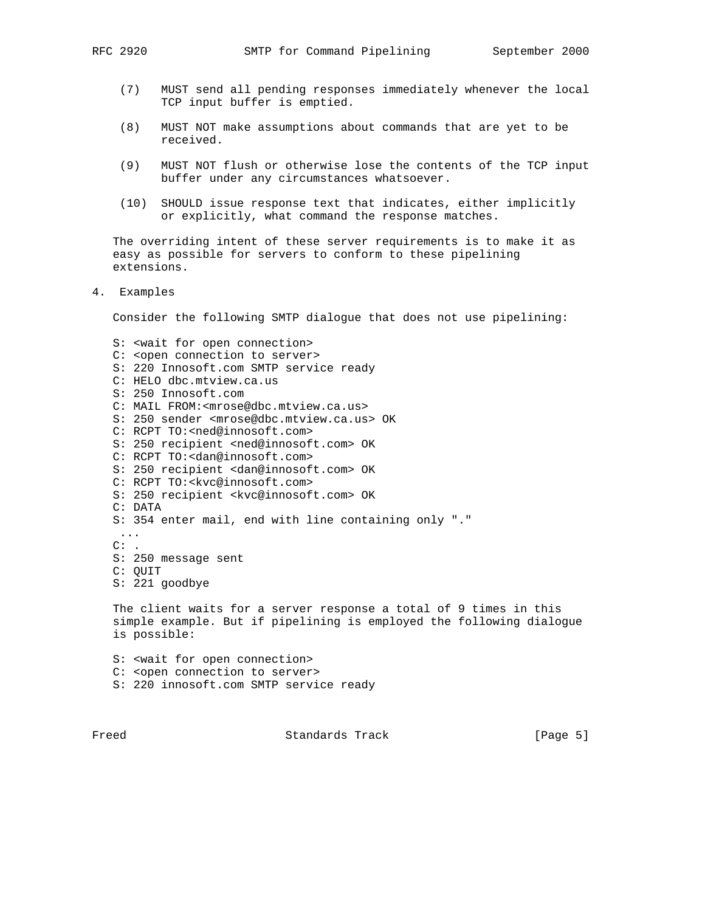- (7) MUST send all pending responses immediately whenever the local TCP input buffer is emptied.
- (8) MUST NOT make assumptions about commands that are yet to be received.
- (9) MUST NOT flush or otherwise lose the contents of the TCP input buffer under any circumstances whatsoever.
- (10) SHOULD issue response text that indicates, either implicitly or explicitly, what command the response matches.

 The overriding intent of these server requirements is to make it as easy as possible for servers to conform to these pipelining extensions.

4. Examples

Consider the following SMTP dialogue that does not use pipelining:

 S: <wait for open connection> C: < open connection to server> S: 220 Innosoft.com SMTP service ready C: HELO dbc.mtview.ca.us S: 250 Innosoft.com C: MAIL FROM:<mrose@dbc.mtview.ca.us> S: 250 sender <mrose@dbc.mtview.ca.us> OK C: RCPT TO:<ned@innosoft.com> S: 250 recipient <ned@innosoft.com> OK C: RCPT TO:<dan@innosoft.com> S: 250 recipient <dan@innosoft.com> OK C: RCPT TO:<kvc@innosoft.com> S: 250 recipient <kvc@innosoft.com> OK C: DATA S: 354 enter mail, end with line containing only "." ...  $C:$  . S: 250 message sent C: QUIT S: 221 goodbye The client waits for a server response a total of 9 times in this simple example. But if pipelining is employed the following dialogue is possible: S: <wait for open connection> C: < open connection to server> S: 220 innosoft.com SMTP service ready

Freed Standards Track [Page 5]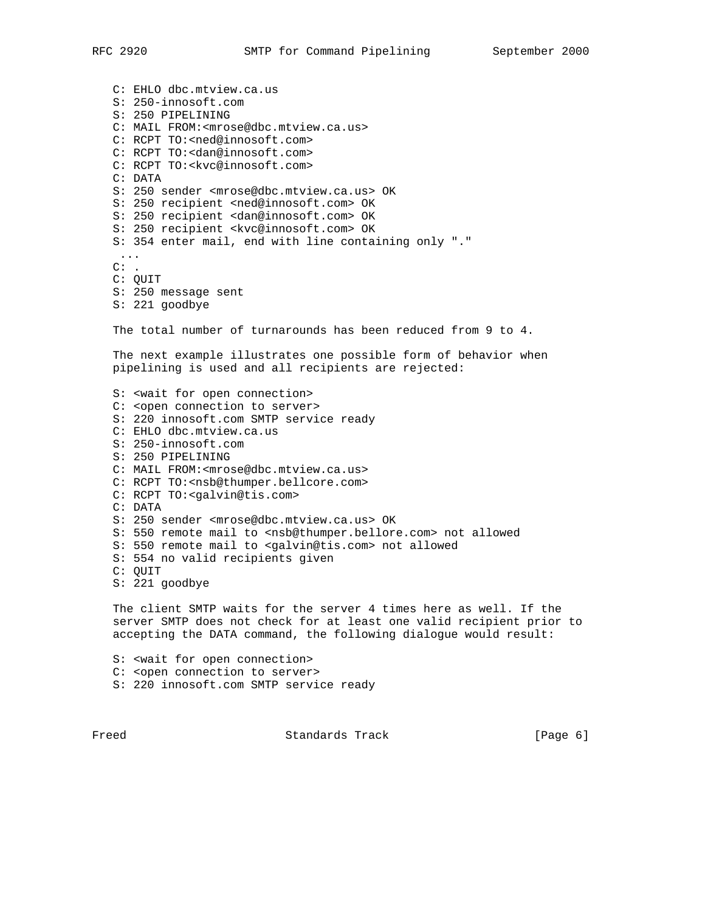C: EHLO dbc.mtview.ca.us S: 250-innosoft.com S: 250 PIPELINING C: MAIL FROM:<mrose@dbc.mtview.ca.us> C: RCPT TO:<ned@innosoft.com> C: RCPT TO:<dan@innosoft.com> C: RCPT TO:<kvc@innosoft.com> C: DATA S: 250 sender <mrose@dbc.mtview.ca.us> OK S: 250 recipient <ned@innosoft.com> OK S: 250 recipient <dan@innosoft.com> OK S: 250 recipient <kvc@innosoft.com> OK S: 354 enter mail, end with line containing only "." ...  $C:$  . C: QUIT S: 250 message sent S: 221 goodbye The total number of turnarounds has been reduced from 9 to 4. The next example illustrates one possible form of behavior when pipelining is used and all recipients are rejected: S: <wait for open connection> C: <open connection to server> S: 220 innosoft.com SMTP service ready C: EHLO dbc.mtview.ca.us S: 250-innosoft.com S: 250 PIPELINING C: MAIL FROM:<mrose@dbc.mtview.ca.us> C: RCPT TO:<nsb@thumper.bellcore.com> C: RCPT TO:<galvin@tis.com> C: DATA S: 250 sender <mrose@dbc.mtview.ca.us> OK S: 550 remote mail to <nsb@thumper.bellore.com> not allowed S: 550 remote mail to <galvin@tis.com> not allowed S: 554 no valid recipients given C: QUIT S: 221 goodbye The client SMTP waits for the server 4 times here as well. If the server SMTP does not check for at least one valid recipient prior to accepting the DATA command, the following dialogue would result: S: <wait for open connection> C: <open connection to server>

S: 220 innosoft.com SMTP service ready

Freed Standards Track [Page 6]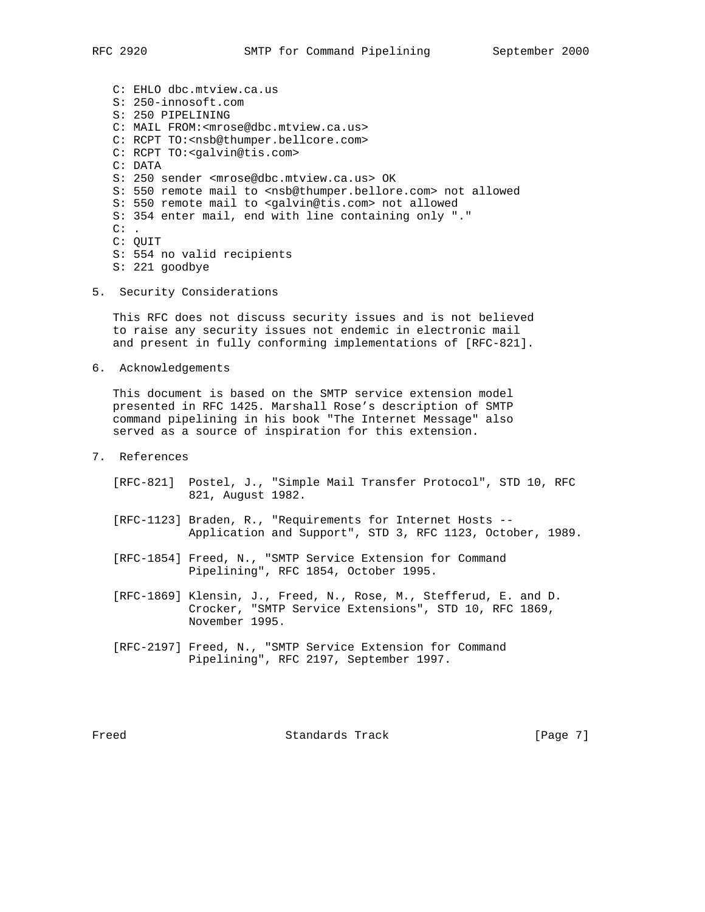C: EHLO dbc.mtview.ca.us S: 250-innosoft.com S: 250 PIPELINING C: MAIL FROM:<mrose@dbc.mtview.ca.us> C: RCPT TO:<nsb@thumper.bellcore.com> C: RCPT TO:<galvin@tis.com> C: DATA S: 250 sender <mrose@dbc.mtview.ca.us> OK S: 550 remote mail to <nsb@thumper.bellore.com> not allowed S: 550 remote mail to <galvin@tis.com> not allowed S: 354 enter mail, end with line containing only "."  $C:$ . C: QUIT S: 554 no valid recipients S: 221 goodbye

5. Security Considerations

 This RFC does not discuss security issues and is not believed to raise any security issues not endemic in electronic mail and present in fully conforming implementations of [RFC-821].

6. Acknowledgements

 This document is based on the SMTP service extension model presented in RFC 1425. Marshall Rose's description of SMTP command pipelining in his book "The Internet Message" also served as a source of inspiration for this extension.

- 7. References
	- [RFC-821] Postel, J., "Simple Mail Transfer Protocol", STD 10, RFC 821, August 1982.
	- [RFC-1123] Braden, R., "Requirements for Internet Hosts -- Application and Support", STD 3, RFC 1123, October, 1989.
	- [RFC-1854] Freed, N., "SMTP Service Extension for Command Pipelining", RFC 1854, October 1995.
	- [RFC-1869] Klensin, J., Freed, N., Rose, M., Stefferud, E. and D. Crocker, "SMTP Service Extensions", STD 10, RFC 1869, November 1995.
	- [RFC-2197] Freed, N., "SMTP Service Extension for Command Pipelining", RFC 2197, September 1997.

Freed Standards Track [Page 7]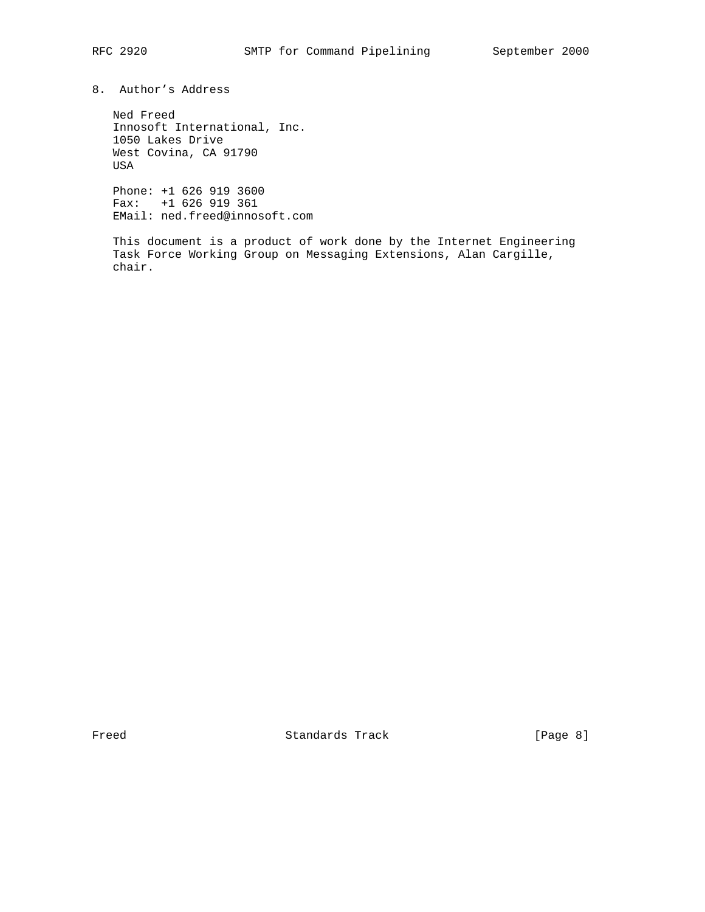8. Author's Address

 Ned Freed Innosoft International, Inc. 1050 Lakes Drive West Covina, CA 91790 USA

 Phone: +1 626 919 3600 Fax: +1 626 919 361 EMail: ned.freed@innosoft.com

 This document is a product of work done by the Internet Engineering Task Force Working Group on Messaging Extensions, Alan Cargille, chair.

Freed Standards Track [Page 8]